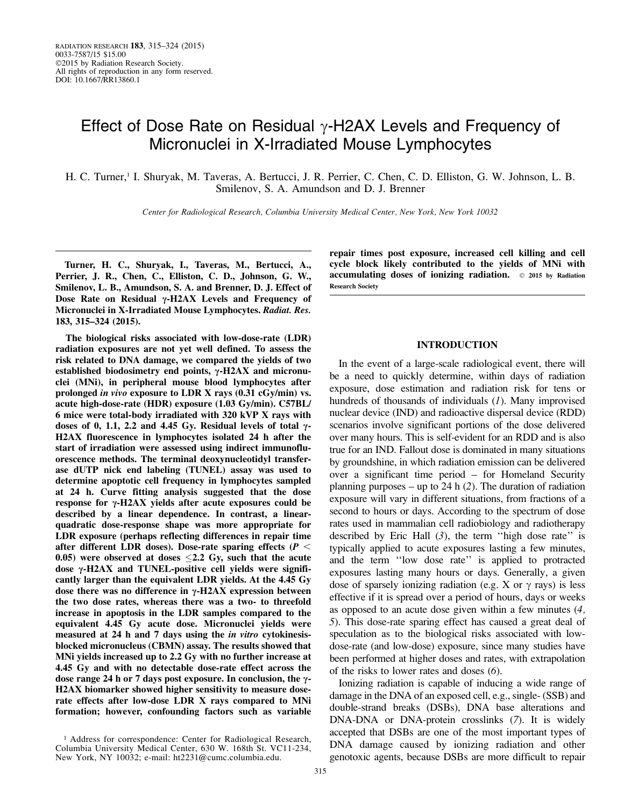# Effect of Dose Rate on Residual  $\gamma$ -H2AX Levels and Frequency of Micronuclei in X-Irradiated Mouse Lymphocytes

H. C. Turner,<sup>1</sup> I. Shuryak, M. Taveras, A. Bertucci, J. R. Perrier, C. Chen, C. D. Elliston, G. W. Johnson, L. B. Smilenov, S. A. Amundson and D. J. Brenner

Center for Radiological Research, Columbia University Medical Center, New York, New York 10032

Turner, H. C., Shuryak, I., Taveras, M., Bertucci, A., Perrier, J. R., Chen, C., Elliston, C. D., Johnson, G. W., Smilenov, L. B., Amundson, S. A. and Brenner, D. J. Effect of Dose Rate on Residual  $\gamma$ -H2AX Levels and Frequency of Micronuclei in X-Irradiated Mouse Lymphocytes. Radiat. Res. 183, 315–324 (2015).

The biological risks associated with low-dose-rate (LDR) radiation exposures are not yet well defined. To assess the risk related to DNA damage, we compared the yields of two established biodosimetry end points,  $\gamma$ -H2AX and micronuclei (MNi), in peripheral mouse blood lymphocytes after prolonged in vivo exposure to LDR X rays (0.31 cGy/min) vs. acute high-dose-rate (HDR) exposure (1.03 Gy/min). C57BL/ 6 mice were total-body irradiated with 320 kVP X rays with doses of 0, 1.1, 2.2 and 4.45 Gy. Residual levels of total  $\gamma$ -H2AX fluorescence in lymphocytes isolated 24 h after the start of irradiation were assessed using indirect immunofluorescence methods. The terminal deoxynucleotidyl transferase dUTP nick end labeling (TUNEL) assay was used to determine apoptotic cell frequency in lymphocytes sampled at 24 h. Curve fitting analysis suggested that the dose response for  $\gamma$ -H2AX yields after acute exposures could be described by a linear dependence. In contrast, a linearquadratic dose-response shape was more appropriate for LDR exposure (perhaps reflecting differences in repair time after different LDR doses). Dose-rate sparing effects ( $P <$ 0.05) were observed at doses  $\leq$  2.2 Gy, such that the acute dose  $\gamma$ -H2AX and TUNEL-positive cell yields were significantly larger than the equivalent LDR yields. At the 4.45 Gy dose there was no difference in  $\gamma$ -H2AX expression between the two dose rates, whereas there was a two- to threefold increase in apoptosis in the LDR samples compared to the equivalent 4.45 Gy acute dose. Micronuclei yields were measured at 24 h and 7 days using the in vitro cytokinesisblocked micronucleus (CBMN) assay. The results showed that MNi yields increased up to 2.2 Gy with no further increase at 4.45 Gy and with no detectable dose-rate effect across the dose range 24 h or 7 days post exposure. In conclusion, the  $\gamma$ -H2AX biomarker showed higher sensitivity to measure doserate effects after low-dose LDR X rays compared to MNi formation; however, confounding factors such as variable

repair times post exposure, increased cell killing and cell cycle block likely contributed to the yields of MNi with accumulating doses of ionizing radiation.  $\circ$  2015 by Radiation Research Society

# INTRODUCTION

In the event of a large-scale radiological event, there will be a need to quickly determine, within days of radiation exposure, dose estimation and radiation risk for tens or hundreds of thousands of individuals (1). Many improvised nuclear device (IND) and radioactive dispersal device (RDD) scenarios involve significant portions of the dose delivered over many hours. This is self-evident for an RDD and is also true for an IND. Fallout dose is dominated in many situations by groundshine, in which radiation emission can be delivered over a significant time period – for Homeland Security planning purposes – up to 24 h  $(2)$ . The duration of radiation exposure will vary in different situations, from fractions of a second to hours or days. According to the spectrum of dose rates used in mammalian cell radiobiology and radiotherapy described by Eric Hall  $(3)$ , the term "high dose rate" is typically applied to acute exposures lasting a few minutes, and the term ''low dose rate'' is applied to protracted exposures lasting many hours or days. Generally, a given dose of sparsely ionizing radiation (e.g. X or  $\gamma$  rays) is less effective if it is spread over a period of hours, days or weeks as opposed to an acute dose given within a few minutes (4, 5). This dose-rate sparing effect has caused a great deal of speculation as to the biological risks associated with lowdose-rate (and low-dose) exposure, since many studies have been performed at higher doses and rates, with extrapolation of the risks to lower rates and doses (6).

Ionizing radiation is capable of inducing a wide range of damage in the DNA of an exposed cell, e.g., single- (SSB) and double-strand breaks (DSBs), DNA base alterations and DNA-DNA or DNA-protein crosslinks (7). It is widely accepted that DSBs are one of the most important types of DNA damage caused by ionizing radiation and other genotoxic agents, because DSBs are more difficult to repair

<sup>&</sup>lt;sup>1</sup> Address for correspondence: Center for Radiological Research, Columbia University Medical Center, 630 W. 168th St. VC11-234, New York, NY 10032; e-mail: ht2231@cumc.columbia.edu.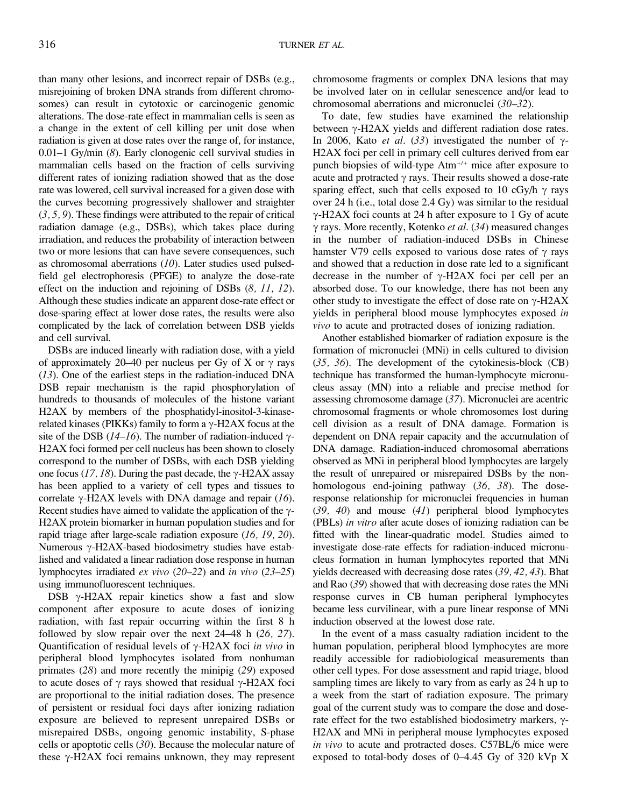than many other lesions, and incorrect repair of DSBs (e.g., misrejoining of broken DNA strands from different chromosomes) can result in cytotoxic or carcinogenic genomic alterations. The dose-rate effect in mammalian cells is seen as a change in the extent of cell killing per unit dose when radiation is given at dose rates over the range of, for instance, 0.01–1 Gy/min (8). Early clonogenic cell survival studies in mammalian cells based on the fraction of cells surviving different rates of ionizing radiation showed that as the dose rate was lowered, cell survival increased for a given dose with the curves becoming progressively shallower and straighter (3, 5, 9). These findings were attributed to the repair of critical radiation damage (e.g., DSBs), which takes place during irradiation, and reduces the probability of interaction between two or more lesions that can have severe consequences, such as chromosomal aberrations (10). Later studies used pulsedfield gel electrophoresis (PFGE) to analyze the dose-rate effect on the induction and rejoining of DSBs (8, 11, 12). Although these studies indicate an apparent dose-rate effect or dose-sparing effect at lower dose rates, the results were also complicated by the lack of correlation between DSB yields and cell survival.

DSBs are induced linearly with radiation dose, with a yield of approximately 20–40 per nucleus per Gy of X or  $\gamma$  rays  $(13)$ . One of the earliest steps in the radiation-induced DNA DSB repair mechanism is the rapid phosphorylation of hundreds to thousands of molecules of the histone variant H2AX by members of the phosphatidyl-inositol-3-kinaserelated kinases (PIKKs) family to form a  $\gamma$ -H2AX focus at the site of the DSB (14–16). The number of radiation-induced  $\gamma$ -H2AX foci formed per cell nucleus has been shown to closely correspond to the number of DSBs, with each DSB yielding one focus (17, 18). During the past decade, the  $\gamma$ -H2AX assay has been applied to a variety of cell types and tissues to correlate  $\gamma$ -H2AX levels with DNA damage and repair (16). Recent studies have aimed to validate the application of the  $\gamma$ -H2AX protein biomarker in human population studies and for rapid triage after large-scale radiation exposure (16, 19, 20). Numerous  $\gamma$ -H2AX-based biodosimetry studies have established and validated a linear radiation dose response in human lymphocytes irradiated ex vivo (20–22) and in vivo (23–25) using immunofluorescent techniques.

DSB  $\gamma$ -H2AX repair kinetics show a fast and slow component after exposure to acute doses of ionizing radiation, with fast repair occurring within the first 8 h followed by slow repair over the next 24–48 h (26, 27). Quantification of residual levels of  $\gamma$ -H2AX foci in vivo in peripheral blood lymphocytes isolated from nonhuman primates (28) and more recently the minipig (29) exposed to acute doses of  $\gamma$  rays showed that residual  $\gamma$ -H2AX foci are proportional to the initial radiation doses. The presence of persistent or residual foci days after ionizing radiation exposure are believed to represent unrepaired DSBs or misrepaired DSBs, ongoing genomic instability, S-phase cells or apoptotic cells (30). Because the molecular nature of these  $\gamma$ -H2AX foci remains unknown, they may represent

chromosome fragments or complex DNA lesions that may be involved later on in cellular senescence and/or lead to chromosomal aberrations and micronuclei (30–32).

To date, few studies have examined the relationship between  $\gamma$ -H2AX yields and different radiation dose rates. In 2006, Kato *et al.* (33) investigated the number of  $\gamma$ -H2AX foci per cell in primary cell cultures derived from ear punch biopsies of wild-type  $Atm^{+/+}$  mice after exposure to acute and protracted  $\gamma$  rays. Their results showed a dose-rate sparing effect, such that cells exposed to 10 cGy/h  $\gamma$  rays over 24 h (i.e., total dose 2.4 Gy) was similar to the residual  $\gamma$ -H2AX foci counts at 24 h after exposure to 1 Gy of acute  $\gamma$  rays. More recently, Kotenko et al. (34) measured changes in the number of radiation-induced DSBs in Chinese hamster V79 cells exposed to various dose rates of  $\gamma$  rays and showed that a reduction in dose rate led to a significant decrease in the number of  $\gamma$ -H2AX foci per cell per an absorbed dose. To our knowledge, there has not been any other study to investigate the effect of dose rate on  $\gamma$ -H2AX yields in peripheral blood mouse lymphocytes exposed in vivo to acute and protracted doses of ionizing radiation.

Another established biomarker of radiation exposure is the formation of micronuclei (MNi) in cells cultured to division (35, 36). The development of the cytokinesis-block (CB) technique has transformed the human-lymphocyte micronucleus assay (MN) into a reliable and precise method for assessing chromosome damage (37). Micronuclei are acentric chromosomal fragments or whole chromosomes lost during cell division as a result of DNA damage. Formation is dependent on DNA repair capacity and the accumulation of DNA damage. Radiation-induced chromosomal aberrations observed as MNi in peripheral blood lymphocytes are largely the result of unrepaired or misrepaired DSBs by the nonhomologous end-joining pathway (36, 38). The doseresponse relationship for micronuclei frequencies in human  $(39, 40)$  and mouse  $(41)$  peripheral blood lymphocytes (PBLs) in vitro after acute doses of ionizing radiation can be fitted with the linear-quadratic model. Studies aimed to investigate dose-rate effects for radiation-induced micronucleus formation in human lymphocytes reported that MNi yields decreased with decreasing dose rates (39, 42, 43). Bhat and Rao (39) showed that with decreasing dose rates the MNi response curves in CB human peripheral lymphocytes became less curvilinear, with a pure linear response of MNi induction observed at the lowest dose rate.

In the event of a mass casualty radiation incident to the human population, peripheral blood lymphocytes are more readily accessible for radiobiological measurements than other cell types. For dose assessment and rapid triage, blood sampling times are likely to vary from as early as 24 h up to a week from the start of radiation exposure. The primary goal of the current study was to compare the dose and doserate effect for the two established biodosimetry markers,  $\gamma$ -H2AX and MNi in peripheral mouse lymphocytes exposed in vivo to acute and protracted doses. C57BL/6 mice were exposed to total-body doses of 0–4.45 Gy of 320 kVp X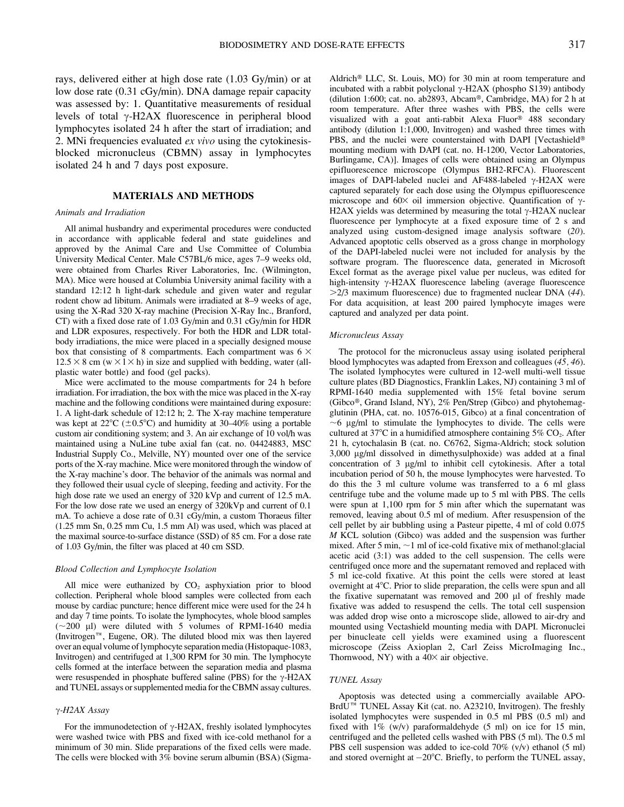rays, delivered either at high dose rate (1.03 Gy/min) or at low dose rate (0.31 cGy/min). DNA damage repair capacity was assessed by: 1. Quantitative measurements of residual levels of total  $\gamma$ -H2AX fluorescence in peripheral blood lymphocytes isolated 24 h after the start of irradiation; and 2. MNi frequencies evaluated ex vivo using the cytokinesisblocked micronucleus (CBMN) assay in lymphocytes isolated 24 h and 7 days post exposure.

#### MATERIALS AND METHODS

#### Animals and Irradiation

All animal husbandry and experimental procedures were conducted in accordance with applicable federal and state guidelines and approved by the Animal Care and Use Committee of Columbia University Medical Center. Male C57BL/6 mice, ages 7–9 weeks old, were obtained from Charles River Laboratories, Inc. (Wilmington, MA). Mice were housed at Columbia University animal facility with a standard 12:12 h light-dark schedule and given water and regular rodent chow ad libitum. Animals were irradiated at 8–9 weeks of age, using the X-Rad 320 X-ray machine (Precision X-Ray Inc., Branford, CT) with a fixed dose rate of 1.03 Gy/min and 0.31 cGy/min for HDR and LDR exposures, respectively. For both the HDR and LDR totalbody irradiations, the mice were placed in a specially designed mouse box that consisting of 8 compartments. Each compartment was  $6 \times$  $12.5 \times 8$  cm (w  $\times$  l  $\times$  h) in size and supplied with bedding, water (allplastic water bottle) and food (gel packs).

Mice were acclimated to the mouse compartments for 24 h before irradiation. For irradiation, the box with the mice was placed in the X-ray machine and the following conditions were maintained during exposure: 1. A light-dark schedule of 12:12 h; 2. The X-ray machine temperature was kept at  $22^{\circ}C$  ( $\pm 0.5^{\circ}C$ ) and humidity at 30–40% using a portable custom air conditioning system; and 3. An air exchange of 10 vol/h was maintained using a NuLine tube axial fan (cat. no. 04424883, MSC Industrial Supply Co., Melville, NY) mounted over one of the service ports of the X-ray machine. Mice were monitored through the window of the X-ray machine's door. The behavior of the animals was normal and they followed their usual cycle of sleeping, feeding and activity. For the high dose rate we used an energy of 320 kVp and current of 12.5 mA. For the low dose rate we used an energy of 320kVp and current of 0.1 mA. To achieve a dose rate of 0.31 cGy/min, a custom Thoraeus filter (1.25 mm Sn, 0.25 mm Cu, 1.5 mm Al) was used, which was placed at the maximal source-to-surface distance (SSD) of 85 cm. For a dose rate of 1.03 Gy/min, the filter was placed at 40 cm SSD.

#### Blood Collection and Lymphocyte Isolation

All mice were euthanized by  $CO<sub>2</sub>$  asphyxiation prior to blood collection. Peripheral whole blood samples were collected from each mouse by cardiac puncture; hence different mice were used for the 24 h and day 7 time points. To isolate the lymphocytes, whole blood samples  $(\sim 200 \text{ }\mu\text{I})$  were diluted with 5 volumes of RPMI-1640 media (Invitrogen<sup> $m$ </sup>, Eugene, OR). The diluted blood mix was then layered over an equal volume of lymphocyte separation media (Histopaque-1083, Invitrogen) and centrifuged at 1,300 RPM for 30 min. The lymphocyte cells formed at the interface between the separation media and plasma were resuspended in phosphate buffered saline (PBS) for the  $\gamma$ -H2AX and TUNEL assays or supplemented media for the CBMN assay cultures.

# $\gamma$ -H2AX Assay

For the immunodetection of  $\gamma$ -H2AX, freshly isolated lymphocytes were washed twice with PBS and fixed with ice-cold methanol for a minimum of 30 min. Slide preparations of the fixed cells were made. The cells were blocked with 3% bovine serum albumin (BSA) (SigmaAldrich® LLC, St. Louis, MO) for 30 min at room temperature and incubated with a rabbit polyclonal  $\gamma$ -H2AX (phospho S139) antibody (dilution 1:600; cat. no. ab2893, Abcam®, Cambridge, MA) for 2 h at room temperature. After three washes with PBS, the cells were visualized with a goat anti-rabbit Alexa Fluor® 488 secondary antibody (dilution 1:1,000, Invitrogen) and washed three times with PBS, and the nuclei were counterstained with DAPI [Vectashield® mounting medium with DAPI (cat. no. H-1200, Vector Laboratories, Burlingame, CA)]. Images of cells were obtained using an Olympus epifluorescence microscope (Olympus BH2-RFCA). Fluorescent images of DAPI-labeled nuclei and AF488-labeled  $\gamma$ -H2AX were captured separately for each dose using the Olympus epifluorescence microscope and 60 $\times$  oil immersion objective. Quantification of  $\gamma$ -H2AX yields was determined by measuring the total  $\gamma$ -H2AX nuclear fluorescence per lymphocyte at a fixed exposure time of 2 s and analyzed using custom-designed image analysis software (20). Advanced apoptotic cells observed as a gross change in morphology of the DAPI-labeled nuclei were not included for analysis by the software program. The fluorescence data, generated in Microsoft Excel format as the average pixel value per nucleus, was edited for high-intensity  $\gamma$ -H2AX fluorescence labeling (average fluorescence  $>2/3$  maximum fluorescence) due to fragmented nuclear DNA (44). For data acquisition, at least 200 paired lymphocyte images were captured and analyzed per data point.

#### Micronucleus Assay

The protocol for the micronucleus assay using isolated peripheral blood lymphocytes was adapted from Erexson and colleagues (45, 46). The isolated lymphocytes were cultured in 12-well multi-well tissue culture plates (BD Diagnostics, Franklin Lakes, NJ) containing 3 ml of RPMI-1640 media supplemented with 15% fetal bovine serum (Gibco®, Grand Island, NY), 2% Pen/Strep (Gibco) and phytohemagglutinin (PHA, cat. no. 10576-015, Gibco) at a final concentration of  $\sim$ 6 ug/ml to stimulate the lymphocytes to divide. The cells were cultured at  $37^{\circ}$ C in a humidified atmosphere containing  $5\%$  CO<sub>2</sub>. After 21 h, cytochalasin B (cat. no. C6762, Sigma-Aldrich; stock solution 3,000 µg/ml dissolved in dimethysulphoxide) was added at a final concentration of 3 µg/ml to inhibit cell cytokinesis. After a total incubation period of 50 h, the mouse lymphocytes were harvested. To do this the 3 ml culture volume was transferred to a 6 ml glass centrifuge tube and the volume made up to 5 ml with PBS. The cells were spun at 1,100 rpm for 5 min after which the supernatant was removed, leaving about 0.5 ml of medium. After resuspension of the cell pellet by air bubbling using a Pasteur pipette, 4 ml of cold 0.075 M KCL solution (Gibco) was added and the suspension was further mixed. After 5 min,  $\sim$ 1 ml of ice-cold fixative mix of methanol: glacial acetic acid (3:1) was added to the cell suspension. The cells were centrifuged once more and the supernatant removed and replaced with 5 ml ice-cold fixative. At this point the cells were stored at least overnight at  $4^{\circ}$ C. Prior to slide preparation, the cells were spun and all the fixative supernatant was removed and 200 µl of freshly made fixative was added to resuspend the cells. The total cell suspension was added drop wise onto a microscope slide, allowed to air-dry and mounted using Vectashield mounting media with DAPI. Micronuclei per binucleate cell yields were examined using a fluorescent microscope (Zeiss Axioplan 2, Carl Zeiss MicroImaging Inc., Thornwood, NY) with a  $40\times$  air objective.

#### TUNEL Assay

Apoptosis was detected using a commercially available APO-Brd $\hat{U}^{\pi\hat{n}}$  TUNEL Assay Kit (cat. no. A23210, Invitrogen). The freshly isolated lymphocytes were suspended in 0.5 ml PBS (0.5 ml) and fixed with  $1\%$  (w/v) paraformaldehyde (5 ml) on ice for 15 min, centrifuged and the pelleted cells washed with PBS (5 ml). The 0.5 ml PBS cell suspension was added to ice-cold 70% (v/v) ethanol (5 ml) and stored overnight at  $-20^{\circ}$ C. Briefly, to perform the TUNEL assay,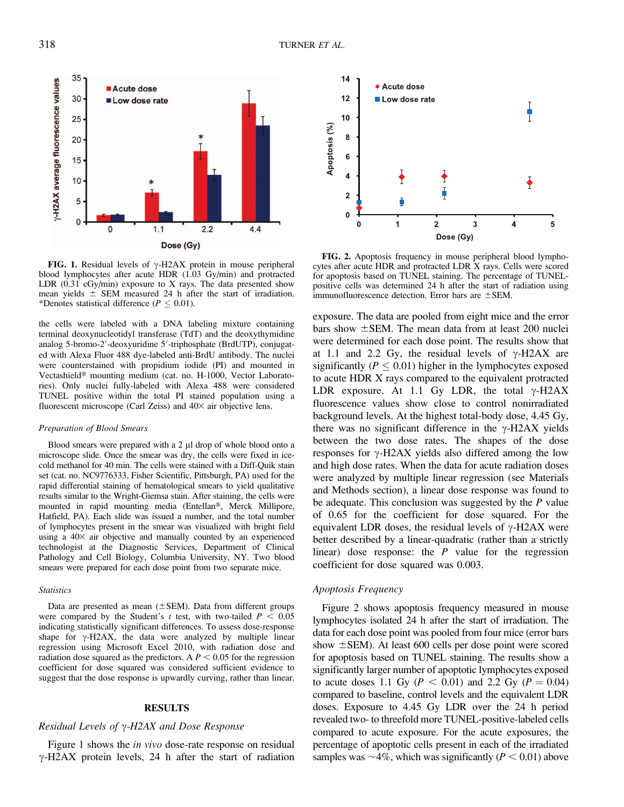

FIG. 1. Residual levels of  $\gamma$ -H2AX protein in mouse peripheral blood lymphocytes after acute HDR (1.03 Gy/min) and protracted LDR (0.31 cGy/min) exposure to X rays. The data presented show mean yields  $\pm$  SEM measured 24 h after the start of irradiation. \*Denotes statistical difference ( $P \leq 0.01$ ).

the cells were labeled with a DNA labeling mixture containing terminal deoxynucleotidyl transferase (TdT) and the deoxythymidine analog 5-bromo-2'-deoxyuridine 5'-triphosphate (BrdUTP), conjugated with Alexa Fluor 488 dye-labeled anti-BrdU antibody. The nuclei were counterstained with propidium iodide (PI) and mounted in Vectashield® mounting medium (cat. no. H-1000, Vector Laboratories). Only nuclei fully-labeled with Alexa 488 were considered TUNEL positive within the total PI stained population using a fluorescent microscope (Carl Zeiss) and  $40\times$  air objective lens.

#### Preparation of Blood Smears

Blood smears were prepared with a 2 µl drop of whole blood onto a microscope slide. Once the smear was dry, the cells were fixed in icecold methanol for 40 min. The cells were stained with a Diff-Quik stain set (cat. no. NC9776333, Fisher Scientific, Pittsburgh, PA) used for the rapid differential staining of hematological smears to yield qualitative results similar to the Wright-Giemsa stain. After staining, the cells were mounted in rapid mounting media (Entellan®, Merck Millipore, Hatfield, PA). Each slide was issued a number, and the total number of lymphocytes present in the smear was visualized with bright field using a  $40\times$  air objective and manually counted by an experienced technologist at the Diagnostic Services, Department of Clinical Pathology and Cell Biology, Columbia University, NY. Two blood smears were prepared for each dose point from two separate mice.

#### **Statistics**

Data are presented as mean  $(\pm$ SEM). Data from different groups were compared by the Student's t test, with two-tailed  $P < 0.05$ indicating statistically significant differences. To assess dose-response shape for  $\gamma$ -H2AX, the data were analyzed by multiple linear regression using Microsoft Excel 2010, with radiation dose and radiation dose squared as the predictors. A  $P < 0.05$  for the regression coefficient for dose squared was considered sufficient evidence to suggest that the dose response is upwardly curving, rather than linear.

## RESULTS

## Residual Levels of  $\gamma$ -H2AX and Dose Response

Figure 1 shows the *in vivo* dose-rate response on residual  $\gamma$ -H2AX protein levels, 24 h after the start of radiation



FIG. 2. Apoptosis frequency in mouse peripheral blood lymphocytes after acute HDR and protracted LDR X rays. Cells were scored for apoptosis based on TUNEL staining. The percentage of TUNELpositive cells was determined 24 h after the start of radiation using immunofluorescence detection. Error bars are  $\pm$ SEM.

exposure. The data are pooled from eight mice and the error bars show  $\pm$  SEM. The mean data from at least 200 nuclei were determined for each dose point. The results show that at 1.1 and 2.2 Gy, the residual levels of  $\gamma$ -H2AX are significantly ( $P \leq 0.01$ ) higher in the lymphocytes exposed to acute HDR X rays compared to the equivalent protracted LDR exposure. At 1.1 Gy LDR, the total  $\gamma$ -H2AX fluorescence values show close to control nonirradiated background levels. At the highest total-body dose, 4.45 Gy, there was no significant difference in the  $\gamma$ -H2AX yields between the two dose rates. The shapes of the dose responses for  $\gamma$ -H2AX yields also differed among the low and high dose rates. When the data for acute radiation doses were analyzed by multiple linear regression (see Materials and Methods section), a linear dose response was found to be adequate. This conclusion was suggested by the  $P$  value of 0.65 for the coefficient for dose squared. For the equivalent LDR doses, the residual levels of  $\gamma$ -H2AX were better described by a linear-quadratic (rather than a strictly linear) dose response: the  $P$  value for the regression coefficient for dose squared was 0.003.

# Apoptosis Frequency

Figure 2 shows apoptosis frequency measured in mouse lymphocytes isolated 24 h after the start of irradiation. The data for each dose point was pooled from four mice (error bars show  $\pm$  SEM). At least 600 cells per dose point were scored for apoptosis based on TUNEL staining. The results show a significantly larger number of apoptotic lymphocytes exposed to acute doses 1.1 Gy ( $P < 0.01$ ) and 2.2 Gy ( $P = 0.04$ ) compared to baseline, control levels and the equivalent LDR doses. Exposure to 4.45 Gy LDR over the 24 h period revealed two- to threefold more TUNEL-positive-labeled cells compared to acute exposure. For the acute exposures, the percentage of apoptotic cells present in each of the irradiated samples was  $\sim$ 4%, which was significantly ( $P < 0.01$ ) above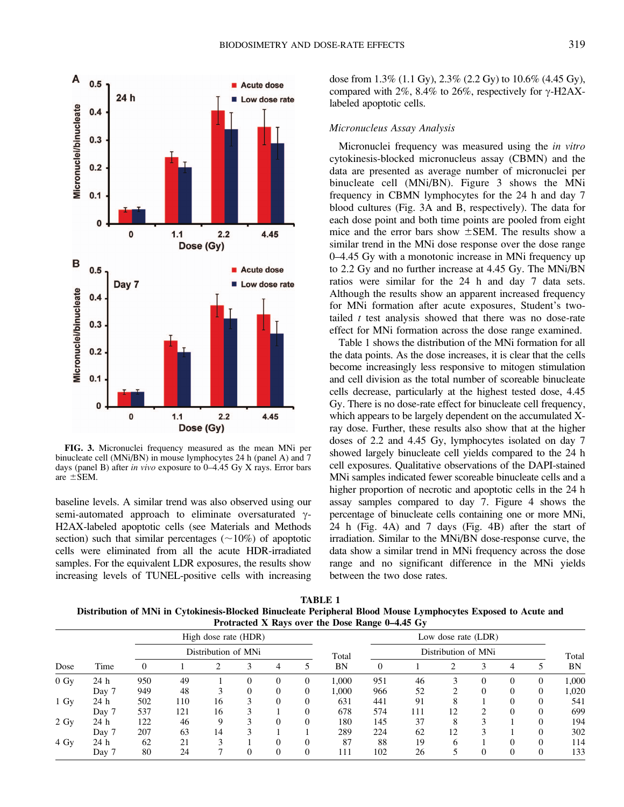

FIG. 3. Micronuclei frequency measured as the mean MNi per binucleate cell (MNi/BN) in mouse lymphocytes 24 h (panel A) and 7 days (panel B) after in vivo exposure to 0–4.45 Gy X rays. Error bars are  $\pm$  SEM.

baseline levels. A similar trend was also observed using our semi-automated approach to eliminate oversaturated  $\gamma$ -H2AX-labeled apoptotic cells (see Materials and Methods section) such that similar percentages  $(\sim 10\%)$  of apoptotic cells were eliminated from all the acute HDR-irradiated samples. For the equivalent LDR exposures, the results show increasing levels of TUNEL-positive cells with increasing dose from 1.3% (1.1 Gy), 2.3% (2.2 Gy) to 10.6% (4.45 Gy), compared with  $2\%, 8.4\%$  to  $26\%,$  respectively for  $\gamma$ -H2AXlabeled apoptotic cells.

### Micronucleus Assay Analysis

Micronuclei frequency was measured using the *in vitro* cytokinesis-blocked micronucleus assay (CBMN) and the data are presented as average number of micronuclei per binucleate cell (MNi/BN). Figure 3 shows the MNi frequency in CBMN lymphocytes for the 24 h and day 7 blood cultures (Fig. 3A and B, respectively). The data for each dose point and both time points are pooled from eight mice and the error bars show  $\pm$ SEM. The results show a similar trend in the MNi dose response over the dose range 0–4.45 Gy with a monotonic increase in MNi frequency up to 2.2 Gy and no further increase at 4.45 Gy. The MNi/BN ratios were similar for the 24 h and day 7 data sets. Although the results show an apparent increased frequency for MNi formation after acute exposures, Student's twotailed  $t$  test analysis showed that there was no dose-rate effect for MNi formation across the dose range examined.

Table 1 shows the distribution of the MNi formation for all the data points. As the dose increases, it is clear that the cells become increasingly less responsive to mitogen stimulation and cell division as the total number of scoreable binucleate cells decrease, particularly at the highest tested dose, 4.45 Gy. There is no dose-rate effect for binucleate cell frequency, which appears to be largely dependent on the accumulated Xray dose. Further, these results also show that at the higher doses of 2.2 and 4.45 Gy, lymphocytes isolated on day 7 showed largely binucleate cell yields compared to the 24 h cell exposures. Qualitative observations of the DAPI-stained MNi samples indicated fewer scoreable binucleate cells and a higher proportion of necrotic and apoptotic cells in the 24 h assay samples compared to day 7. Figure 4 shows the percentage of binucleate cells containing one or more MNi, 24 h (Fig. 4A) and 7 days (Fig. 4B) after the start of irradiation. Similar to the MNi/BN dose-response curve, the data show a similar trend in MNi frequency across the dose range and no significant difference in the MNi yields between the two dose rates.

TABLE 1 Distribution of MNi in Cytokinesis-Blocked Binucleate Peripheral Blood Mouse Lymphocytes Exposed to Acute and Protracted X Rays over the Dose Range 0–4.45 Gy

| There is the same of the boot number $\sigma$ into $\sigma$ |       |                                             |      |     |    |   |          |       |                                            |       |     |          |          |          |          |
|-------------------------------------------------------------|-------|---------------------------------------------|------|-----|----|---|----------|-------|--------------------------------------------|-------|-----|----------|----------|----------|----------|
| Dose                                                        | Time  | High dose rate (HDR)<br>Distribution of MNi |      |     |    |   |          | Total | Low dose rate (LDR)<br>Distribution of MNi |       |     |          |          |          | Total    |
|                                                             |       |                                             |      |     |    |   |          |       |                                            |       |     |          |          |          |          |
|                                                             |       | $0 \text{ Gy}$                              | 24 h | 950 | 49 |   |          |       |                                            | 1.000 | 951 | 46       |          | $\theta$ | $\Omega$ |
| Day 7                                                       | 949   |                                             | 48   |     |    |   |          | 1.000 | 966                                        | 52    | ◠   | $\theta$ | $\theta$ | $\Omega$ | 1,020    |
| $1\ Gv$                                                     | 24 h  | 502                                         | 110  | 16  |    |   |          | 631   | 441                                        | 91    | 8   |          |          | $\Omega$ | 541      |
|                                                             | Day 7 | 537                                         | 121  | 16  |    |   | $\Omega$ | 678   | 574                                        | 111   | 12  | ◠        | $\Omega$ |          | 699      |
| $2 \text{ Gy}$                                              | 24 h  | 122                                         | 46   | Q   |    | 0 |          | 180   | 145                                        | 37    | 8   | 3        |          |          | 194      |
|                                                             | Day 7 | 207                                         | 63   | 14  |    |   |          | 289   | 224                                        | 62    | 12  |          |          |          | 302      |
| 4 Gy                                                        | 24 h  | 62                                          | 21   |     |    | 0 | 0        | 87    | 88                                         | 19    | 6   |          | $\Omega$ | $\Omega$ | 114      |
|                                                             | Day 7 | 80                                          | 24   |     |    |   |          | 111   | 102                                        | 26    |     |          | $\theta$ | $\theta$ | 133      |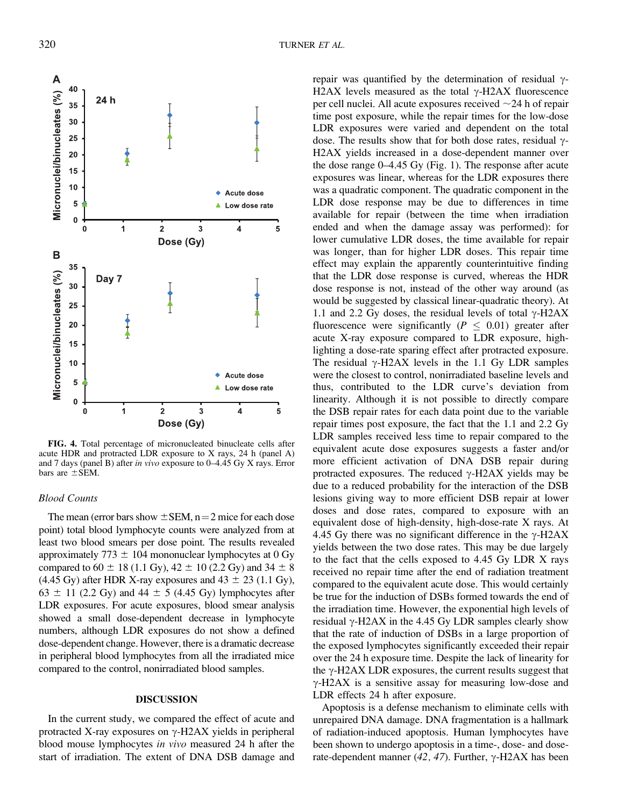

FIG. 4. Total percentage of micronucleated binucleate cells after acute HDR and protracted LDR exposure to X rays, 24 h (panel A) and 7 days (panel B) after in vivo exposure to 0–4.45 Gy X rays. Error bars are  $\pm$ SEM.

# Blood Counts

The mean (error bars show  $\pm$  SEM, n = 2 mice for each dose point) total blood lymphocyte counts were analyzed from at least two blood smears per dose point. The results revealed approximately 773  $\pm$  104 mononuclear lymphocytes at 0 Gy compared to 60  $\pm$  18 (1.1 Gy), 42  $\pm$  10 (2.2 Gy) and 34  $\pm$  8 (4.45 Gy) after HDR X-ray exposures and  $43 \pm 23$  (1.1 Gy),  $63 \pm 11$  (2.2 Gy) and 44  $\pm$  5 (4.45 Gy) lymphocytes after LDR exposures. For acute exposures, blood smear analysis showed a small dose-dependent decrease in lymphocyte numbers, although LDR exposures do not show a defined dose-dependent change. However, there is a dramatic decrease in peripheral blood lymphocytes from all the irradiated mice compared to the control, nonirradiated blood samples.

# DISCUSSION

In the current study, we compared the effect of acute and protracted X-ray exposures on  $\gamma$ -H2AX yields in peripheral blood mouse lymphocytes in vivo measured 24 h after the start of irradiation. The extent of DNA DSB damage and

repair was quantified by the determination of residual  $\gamma$ -H2AX levels measured as the total  $\gamma$ -H2AX fluorescence per cell nuclei. All acute exposures received  $\sim$ 24 h of repair time post exposure, while the repair times for the low-dose LDR exposures were varied and dependent on the total dose. The results show that for both dose rates, residual  $\gamma$ -H2AX yields increased in a dose-dependent manner over the dose range 0–4.45 Gy (Fig. 1). The response after acute exposures was linear, whereas for the LDR exposures there was a quadratic component. The quadratic component in the LDR dose response may be due to differences in time available for repair (between the time when irradiation ended and when the damage assay was performed): for lower cumulative LDR doses, the time available for repair was longer, than for higher LDR doses. This repair time effect may explain the apparently counterintuitive finding that the LDR dose response is curved, whereas the HDR dose response is not, instead of the other way around (as would be suggested by classical linear-quadratic theory). At 1.1 and 2.2 Gy doses, the residual levels of total  $\gamma$ -H2AX fluorescence were significantly ( $P \leq 0.01$ ) greater after acute X-ray exposure compared to LDR exposure, highlighting a dose-rate sparing effect after protracted exposure. The residual  $\gamma$ -H2AX levels in the 1.1 Gy LDR samples were the closest to control, nonirradiated baseline levels and thus, contributed to the LDR curve's deviation from linearity. Although it is not possible to directly compare the DSB repair rates for each data point due to the variable repair times post exposure, the fact that the 1.1 and 2.2 Gy LDR samples received less time to repair compared to the equivalent acute dose exposures suggests a faster and/or more efficient activation of DNA DSB repair during protracted exposures. The reduced  $\gamma$ -H2AX yields may be due to a reduced probability for the interaction of the DSB lesions giving way to more efficient DSB repair at lower doses and dose rates, compared to exposure with an equivalent dose of high-density, high-dose-rate X rays. At 4.45 Gy there was no significant difference in the  $\gamma$ -H2AX yields between the two dose rates. This may be due largely to the fact that the cells exposed to 4.45 Gy LDR X rays received no repair time after the end of radiation treatment compared to the equivalent acute dose. This would certainly be true for the induction of DSBs formed towards the end of the irradiation time. However, the exponential high levels of residual  $\gamma$ -H2AX in the 4.45 Gy LDR samples clearly show that the rate of induction of DSBs in a large proportion of the exposed lymphocytes significantly exceeded their repair over the 24 h exposure time. Despite the lack of linearity for the  $\gamma$ -H2AX LDR exposures, the current results suggest that  $\gamma$ -H2AX is a sensitive assay for measuring low-dose and LDR effects 24 h after exposure.

Apoptosis is a defense mechanism to eliminate cells with unrepaired DNA damage. DNA fragmentation is a hallmark of radiation-induced apoptosis. Human lymphocytes have been shown to undergo apoptosis in a time-, dose- and doserate-dependent manner (42, 47). Further,  $\gamma$ -H2AX has been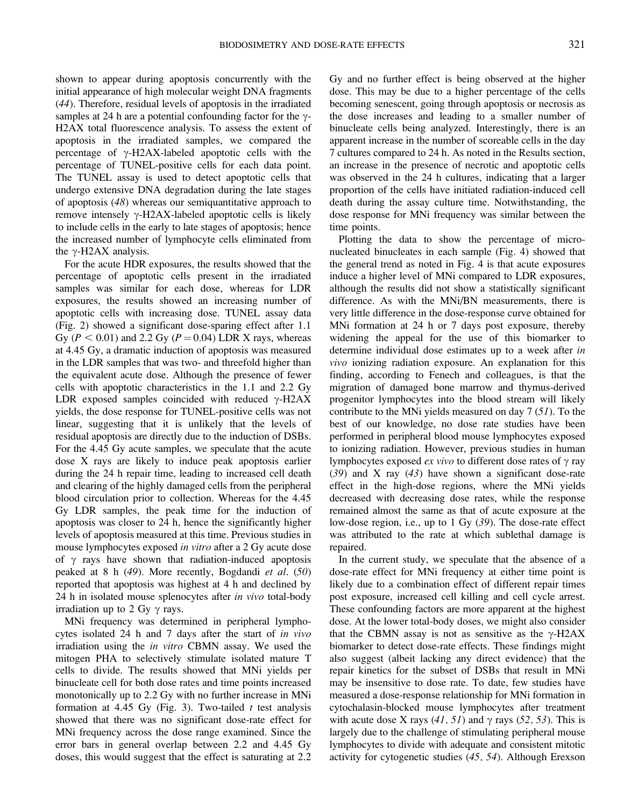shown to appear during apoptosis concurrently with the initial appearance of high molecular weight DNA fragments (44). Therefore, residual levels of apoptosis in the irradiated samples at 24 h are a potential confounding factor for the  $\gamma$ -H2AX total fluorescence analysis. To assess the extent of apoptosis in the irradiated samples, we compared the percentage of  $\gamma$ -H2AX-labeled apoptotic cells with the percentage of TUNEL-positive cells for each data point. The TUNEL assay is used to detect apoptotic cells that undergo extensive DNA degradation during the late stages of apoptosis (48) whereas our semiquantitative approach to remove intensely  $\gamma$ -H2AX-labeled apoptotic cells is likely to include cells in the early to late stages of apoptosis; hence the increased number of lymphocyte cells eliminated from the  $\gamma$ -H2AX analysis.

For the acute HDR exposures, the results showed that the percentage of apoptotic cells present in the irradiated samples was similar for each dose, whereas for LDR exposures, the results showed an increasing number of apoptotic cells with increasing dose. TUNEL assay data (Fig. 2) showed a significant dose-sparing effect after 1.1 Gy ( $P < 0.01$ ) and 2.2 Gy ( $P = 0.04$ ) LDR X rays, whereas at 4.45 Gy, a dramatic induction of apoptosis was measured in the LDR samples that was two- and threefold higher than the equivalent acute dose. Although the presence of fewer cells with apoptotic characteristics in the 1.1 and 2.2 Gy LDR exposed samples coincided with reduced  $\gamma$ -H2AX yields, the dose response for TUNEL-positive cells was not linear, suggesting that it is unlikely that the levels of residual apoptosis are directly due to the induction of DSBs. For the 4.45 Gy acute samples, we speculate that the acute dose X rays are likely to induce peak apoptosis earlier during the 24 h repair time, leading to increased cell death and clearing of the highly damaged cells from the peripheral blood circulation prior to collection. Whereas for the 4.45 Gy LDR samples, the peak time for the induction of apoptosis was closer to 24 h, hence the significantly higher levels of apoptosis measured at this time. Previous studies in mouse lymphocytes exposed in vitro after a 2 Gy acute dose of  $\gamma$  rays have shown that radiation-induced apoptosis peaked at 8 h (49). More recently, Bogdandi et al. (50) reported that apoptosis was highest at 4 h and declined by 24 h in isolated mouse splenocytes after in vivo total-body irradiation up to 2 Gy  $\gamma$  rays.

MNi frequency was determined in peripheral lymphocytes isolated 24 h and 7 days after the start of in vivo irradiation using the in vitro CBMN assay. We used the mitogen PHA to selectively stimulate isolated mature T cells to divide. The results showed that MNi yields per binucleate cell for both dose rates and time points increased monotonically up to 2.2 Gy with no further increase in MNi formation at 4.45 Gy (Fig. 3). Two-tailed  $t$  test analysis showed that there was no significant dose-rate effect for MNi frequency across the dose range examined. Since the error bars in general overlap between 2.2 and 4.45 Gy doses, this would suggest that the effect is saturating at 2.2 Gy and no further effect is being observed at the higher dose. This may be due to a higher percentage of the cells becoming senescent, going through apoptosis or necrosis as the dose increases and leading to a smaller number of binucleate cells being analyzed. Interestingly, there is an apparent increase in the number of scoreable cells in the day 7 cultures compared to 24 h. As noted in the Results section, an increase in the presence of necrotic and apoptotic cells was observed in the 24 h cultures, indicating that a larger proportion of the cells have initiated radiation-induced cell death during the assay culture time. Notwithstanding, the dose response for MNi frequency was similar between the time points.

Plotting the data to show the percentage of micronucleated binucleates in each sample (Fig. 4) showed that the general trend as noted in Fig. 4 is that acute exposures induce a higher level of MNi compared to LDR exposures, although the results did not show a statistically significant difference. As with the MNi/BN measurements, there is very little difference in the dose-response curve obtained for MNi formation at 24 h or 7 days post exposure, thereby widening the appeal for the use of this biomarker to determine individual dose estimates up to a week after in vivo ionizing radiation exposure. An explanation for this finding, according to Fenech and colleagues, is that the migration of damaged bone marrow and thymus-derived progenitor lymphocytes into the blood stream will likely contribute to the MNi yields measured on day 7 (51). To the best of our knowledge, no dose rate studies have been performed in peripheral blood mouse lymphocytes exposed to ionizing radiation. However, previous studies in human lymphocytes exposed *ex vivo* to different dose rates of  $\gamma$  ray (39) and X ray (43) have shown a significant dose-rate effect in the high-dose regions, where the MNi yields decreased with decreasing dose rates, while the response remained almost the same as that of acute exposure at the low-dose region, i.e., up to 1 Gy (39). The dose-rate effect was attributed to the rate at which sublethal damage is repaired.

In the current study, we speculate that the absence of a dose-rate effect for MNi frequency at either time point is likely due to a combination effect of different repair times post exposure, increased cell killing and cell cycle arrest. These confounding factors are more apparent at the highest dose. At the lower total-body doses, we might also consider that the CBMN assay is not as sensitive as the  $\gamma$ -H2AX biomarker to detect dose-rate effects. These findings might also suggest (albeit lacking any direct evidence) that the repair kinetics for the subset of DSBs that result in MNi may be insensitive to dose rate. To date, few studies have measured a dose-response relationship for MNi formation in cytochalasin-blocked mouse lymphocytes after treatment with acute dose X rays (41, 51) and  $\gamma$  rays (52, 53). This is largely due to the challenge of stimulating peripheral mouse lymphocytes to divide with adequate and consistent mitotic activity for cytogenetic studies (45, 54). Although Erexson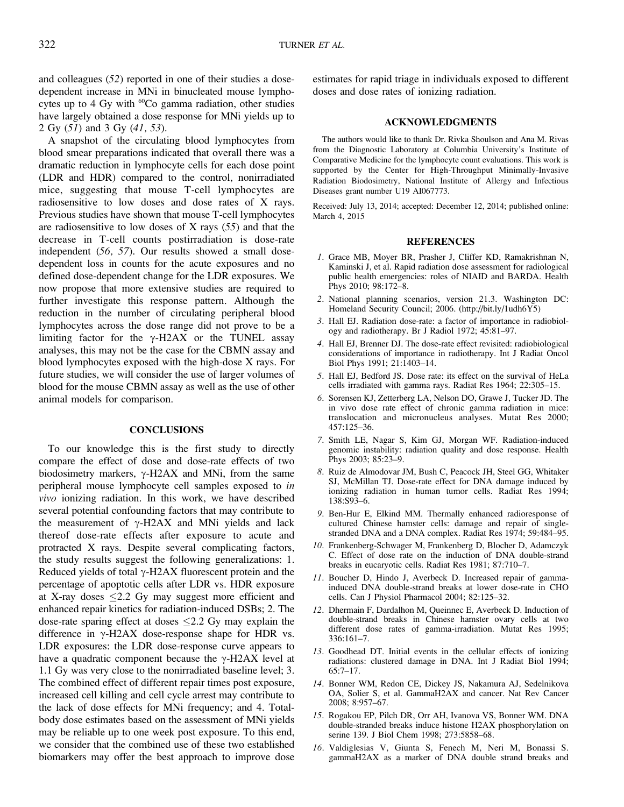and colleagues (52) reported in one of their studies a dosedependent increase in MNi in binucleated mouse lymphocytes up to 4 Gy with  $^{60}Co$  gamma radiation, other studies have largely obtained a dose response for MNi yields up to 2 Gy (51) and 3 Gy (41, 53).

A snapshot of the circulating blood lymphocytes from blood smear preparations indicated that overall there was a dramatic reduction in lymphocyte cells for each dose point (LDR and HDR) compared to the control, nonirradiated mice, suggesting that mouse T-cell lymphocytes are radiosensitive to low doses and dose rates of X rays. Previous studies have shown that mouse T-cell lymphocytes are radiosensitive to low doses of X rays (55) and that the decrease in T-cell counts postirradiation is dose-rate independent (56, 57). Our results showed a small dosedependent loss in counts for the acute exposures and no defined dose-dependent change for the LDR exposures. We now propose that more extensive studies are required to further investigate this response pattern. Although the reduction in the number of circulating peripheral blood lymphocytes across the dose range did not prove to be a limiting factor for the  $\gamma$ -H2AX or the TUNEL assay analyses, this may not be the case for the CBMN assay and blood lymphocytes exposed with the high-dose X rays. For future studies, we will consider the use of larger volumes of blood for the mouse CBMN assay as well as the use of other animal models for comparison.

## **CONCLUSIONS**

To our knowledge this is the first study to directly compare the effect of dose and dose-rate effects of two biodosimetry markers,  $\gamma$ -H2AX and MNi, from the same peripheral mouse lymphocyte cell samples exposed to in vivo ionizing radiation. In this work, we have described several potential confounding factors that may contribute to the measurement of  $\gamma$ -H2AX and MNi yields and lack thereof dose-rate effects after exposure to acute and protracted X rays. Despite several complicating factors, the study results suggest the following generalizations: 1. Reduced yields of total  $\gamma$ -H2AX fluorescent protein and the percentage of apoptotic cells after LDR vs. HDR exposure at X-ray doses  $\leq$  2.2 Gy may suggest more efficient and enhanced repair kinetics for radiation-induced DSBs; 2. The dose-rate sparing effect at doses  $\leq$ 2.2 Gy may explain the difference in  $\gamma$ -H2AX dose-response shape for HDR vs. LDR exposures: the LDR dose-response curve appears to have a quadratic component because the  $\gamma$ -H2AX level at 1.1 Gy was very close to the nonirradiated baseline level; 3. The combined effect of different repair times post exposure, increased cell killing and cell cycle arrest may contribute to the lack of dose effects for MNi frequency; and 4. Totalbody dose estimates based on the assessment of MNi yields may be reliable up to one week post exposure. To this end, we consider that the combined use of these two established biomarkers may offer the best approach to improve dose

estimates for rapid triage in individuals exposed to different doses and dose rates of ionizing radiation.

## ACKNOWLEDGMENTS

The authors would like to thank Dr. Rivka Shoulson and Ana M. Rivas from the Diagnostic Laboratory at Columbia University's Institute of Comparative Medicine for the lymphocyte count evaluations. This work is supported by the Center for High-Throughput Minimally-Invasive Radiation Biodosimetry, National Institute of Allergy and Infectious Diseases grant number U19 AI067773.

Received: July 13, 2014; accepted: December 12, 2014; published online: March 4, 2015

## **REFERENCES**

- 1. Grace MB, Moyer BR, Prasher J, Cliffer KD, Ramakrishnan N, Kaminski J, et al. Rapid radiation dose assessment for radiological public health emergencies: roles of NIAID and BARDA. Health Phys 2010; 98:172–8.
- 2. National planning scenarios, version 21.3. Washington DC: Homeland Security Council; 2006. (http://bit.ly/1udh6Y5)
- 3. Hall EJ. Radiation dose-rate: a factor of importance in radiobiology and radiotherapy. Br J Radiol 1972; 45:81–97.
- 4. Hall EJ, Brenner DJ. The dose-rate effect revisited: radiobiological considerations of importance in radiotherapy. Int J Radiat Oncol Biol Phys 1991; 21:1403–14.
- 5. Hall EJ, Bedford JS. Dose rate: its effect on the survival of HeLa cells irradiated with gamma rays. Radiat Res 1964; 22:305–15.
- 6. Sorensen KJ, Zetterberg LA, Nelson DO, Grawe J, Tucker JD. The in vivo dose rate effect of chronic gamma radiation in mice: translocation and micronucleus analyses. Mutat Res 2000; 457:125–36.
- 7. Smith LE, Nagar S, Kim GJ, Morgan WF. Radiation-induced genomic instability: radiation quality and dose response. Health Phys 2003; 85:23–9.
- 8. Ruiz de Almodovar JM, Bush C, Peacock JH, Steel GG, Whitaker SJ, McMillan TJ. Dose-rate effect for DNA damage induced by ionizing radiation in human tumor cells. Radiat Res 1994; 138:S93–6.
- 9. Ben-Hur E, Elkind MM. Thermally enhanced radioresponse of cultured Chinese hamster cells: damage and repair of singlestranded DNA and a DNA complex. Radiat Res 1974; 59:484–95.
- 10. Frankenberg-Schwager M, Frankenberg D, Blocher D, Adamczyk C. Effect of dose rate on the induction of DNA double-strand breaks in eucaryotic cells. Radiat Res 1981; 87:710–7.
- 11. Boucher D, Hindo J, Averbeck D. Increased repair of gammainduced DNA double-strand breaks at lower dose-rate in CHO cells. Can J Physiol Pharmacol 2004; 82:125–32.
- 12. Dhermain F, Dardalhon M, Queinnec E, Averbeck D. Induction of double-strand breaks in Chinese hamster ovary cells at two different dose rates of gamma-irradiation. Mutat Res 1995; 336:161–7.
- 13. Goodhead DT. Initial events in the cellular effects of ionizing radiations: clustered damage in DNA. Int J Radiat Biol 1994; 65:7–17.
- 14. Bonner WM, Redon CE, Dickey JS, Nakamura AJ, Sedelnikova OA, Solier S, et al. GammaH2AX and cancer. Nat Rev Cancer 2008; 8:957–67.
- 15. Rogakou EP, Pilch DR, Orr AH, Ivanova VS, Bonner WM. DNA double-stranded breaks induce histone H2AX phosphorylation on serine 139. J Biol Chem 1998; 273:5858–68.
- 16. Valdiglesias V, Giunta S, Fenech M, Neri M, Bonassi S. gammaH2AX as a marker of DNA double strand breaks and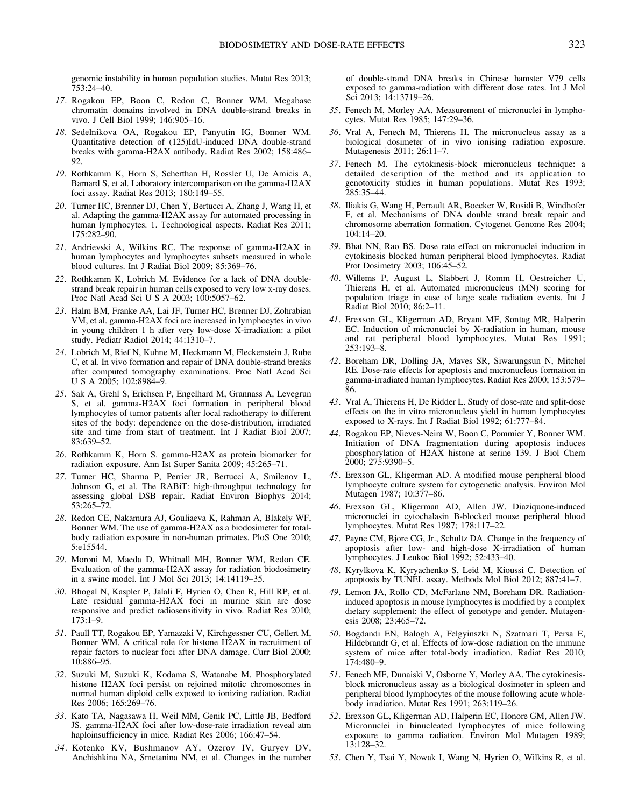genomic instability in human population studies. Mutat Res 2013; 753:24–40.

- 17. Rogakou EP, Boon C, Redon C, Bonner WM. Megabase chromatin domains involved in DNA double-strand breaks in vivo. J Cell Biol 1999; 146:905–16.
- 18. Sedelnikova OA, Rogakou EP, Panyutin IG, Bonner WM. Quantitative detection of (125)IdU-induced DNA double-strand breaks with gamma-H2AX antibody. Radiat Res 2002; 158:486– 92.
- 19. Rothkamm K, Horn S, Scherthan H, Rossler U, De Amicis A, Barnard S, et al. Laboratory intercomparison on the gamma-H2AX foci assay. Radiat Res 2013; 180:149–55.
- 20. Turner HC, Brenner DJ, Chen Y, Bertucci A, Zhang J, Wang H, et al. Adapting the gamma-H2AX assay for automated processing in human lymphocytes. 1. Technological aspects. Radiat Res 2011; 175:282–90.
- 21. Andrievski A, Wilkins RC. The response of gamma-H2AX in human lymphocytes and lymphocytes subsets measured in whole blood cultures. Int J Radiat Biol 2009; 85:369–76.
- 22. Rothkamm K, Lobrich M. Evidence for a lack of DNA doublestrand break repair in human cells exposed to very low x-ray doses. Proc Natl Acad Sci U S A 2003; 100:5057–62.
- 23. Halm BM, Franke AA, Lai JF, Turner HC, Brenner DJ, Zohrabian VM, et al. gamma-H2AX foci are increased in lymphocytes in vivo in young children 1 h after very low-dose X-irradiation: a pilot study. Pediatr Radiol 2014; 44:1310–7.
- 24. Lobrich M, Rief N, Kuhne M, Heckmann M, Fleckenstein J, Rube C, et al. In vivo formation and repair of DNA double-strand breaks after computed tomography examinations. Proc Natl Acad Sci U S A 2005; 102:8984–9.
- 25. Sak A, Grehl S, Erichsen P, Engelhard M, Grannass A, Levegrun S, et al. gamma-H2AX foci formation in peripheral blood lymphocytes of tumor patients after local radiotherapy to different sites of the body: dependence on the dose-distribution, irradiated site and time from start of treatment. Int J Radiat Biol 2007; 83:639–52.
- 26. Rothkamm K, Horn S. gamma-H2AX as protein biomarker for radiation exposure. Ann Ist Super Sanita 2009; 45:265–71.
- 27. Turner HC, Sharma P, Perrier JR, Bertucci A, Smilenov L, Johnson G, et al. The RABiT: high-throughput technology for assessing global DSB repair. Radiat Environ Biophys 2014; 53:265–72.
- 28. Redon CE, Nakamura AJ, Gouliaeva K, Rahman A, Blakely WF, Bonner WM. The use of gamma-H2AX as a biodosimeter for totalbody radiation exposure in non-human primates. PloS One 2010; 5:e15544.
- 29. Moroni M, Maeda D, Whitnall MH, Bonner WM, Redon CE. Evaluation of the gamma-H2AX assay for radiation biodosimetry in a swine model. Int J Mol Sci 2013; 14:14119–35.
- 30. Bhogal N, Kaspler P, Jalali F, Hyrien O, Chen R, Hill RP, et al. Late residual gamma-H2AX foci in murine skin are dose responsive and predict radiosensitivity in vivo. Radiat Res 2010; 173:1–9.
- 31. Paull TT, Rogakou EP, Yamazaki V, Kirchgessner CU, Gellert M, Bonner WM. A critical role for histone H2AX in recruitment of repair factors to nuclear foci after DNA damage. Curr Biol 2000; 10:886–95.
- 32. Suzuki M, Suzuki K, Kodama S, Watanabe M. Phosphorylated histone H2AX foci persist on rejoined mitotic chromosomes in normal human diploid cells exposed to ionizing radiation. Radiat Res 2006; 165:269–76.
- 33. Kato TA, Nagasawa H, Weil MM, Genik PC, Little JB, Bedford JS. gamma-H2AX foci after low-dose-rate irradiation reveal atm haploinsufficiency in mice. Radiat Res 2006; 166:47–54.
- 34. Kotenko KV, Bushmanov AY, Ozerov IV, Guryev DV, Anchishkina NA, Smetanina NM, et al. Changes in the number

of double-strand DNA breaks in Chinese hamster V79 cells exposed to gamma-radiation with different dose rates. Int J Mol Sci 2013; 14:13719–26.

- 35. Fenech M, Morley AA. Measurement of micronuclei in lymphocytes. Mutat Res 1985; 147:29–36.
- 36. Vral A, Fenech M, Thierens H. The micronucleus assay as a biological dosimeter of in vivo ionising radiation exposure. Mutagenesis 2011; 26:11–7.
- 37. Fenech M. The cytokinesis-block micronucleus technique: a detailed description of the method and its application to genotoxicity studies in human populations. Mutat Res 1993; 285:35–44.
- 38. Iliakis G, Wang H, Perrault AR, Boecker W, Rosidi B, Windhofer F, et al. Mechanisms of DNA double strand break repair and chromosome aberration formation. Cytogenet Genome Res 2004; 104:14–20.
- 39. Bhat NN, Rao BS. Dose rate effect on micronuclei induction in cytokinesis blocked human peripheral blood lymphocytes. Radiat Prot Dosimetry 2003; 106:45–52.
- 40. Willems P, August L, Slabbert J, Romm H, Oestreicher U, Thierens H, et al. Automated micronucleus (MN) scoring for population triage in case of large scale radiation events. Int J Radiat Biol 2010; 86:2–11.
- 41. Erexson GL, Kligerman AD, Bryant MF, Sontag MR, Halperin EC. Induction of micronuclei by X-radiation in human, mouse and rat peripheral blood lymphocytes. Mutat Res 1991;  $253:193-\overline{8}$ .
- 42. Boreham DR, Dolling JA, Maves SR, Siwarungsun N, Mitchel RE. Dose-rate effects for apoptosis and micronucleus formation in gamma-irradiated human lymphocytes. Radiat Res 2000; 153:579– 86.
- 43. Vral A, Thierens H, De Ridder L. Study of dose-rate and split-dose effects on the in vitro micronucleus yield in human lymphocytes exposed to X-rays. Int J Radiat Biol 1992; 61:777–84.
- 44. Rogakou EP, Nieves-Neira W, Boon C, Pommier Y, Bonner WM. Initiation of DNA fragmentation during apoptosis induces phosphorylation of H2AX histone at serine 139. J Biol Chem 2000; 275:9390–5.
- 45. Erexson GL, Kligerman AD. A modified mouse peripheral blood lymphocyte culture system for cytogenetic analysis. Environ Mol Mutagen 1987; 10:377–86.
- 46. Erexson GL, Kligerman AD, Allen JW. Diaziquone-induced micronuclei in cytochalasin B-blocked mouse peripheral blood lymphocytes. Mutat Res 1987; 178:117–22.
- 47. Payne CM, Bjore CG, Jr., Schultz DA. Change in the frequency of apoptosis after low- and high-dose X-irradiation of human lymphocytes. J Leukoc Biol 1992; 52:433–40.
- 48. Kyrylkova K, Kyryachenko S, Leid M, Kioussi C. Detection of apoptosis by TUNEL assay. Methods Mol Biol 2012; 887:41–7.
- 49. Lemon JA, Rollo CD, McFarlane NM, Boreham DR. Radiationinduced apoptosis in mouse lymphocytes is modified by a complex dietary supplement: the effect of genotype and gender. Mutagenesis 2008; 23:465–72.
- 50. Bogdandi EN, Balogh A, Felgyinszki N, Szatmari T, Persa E, Hildebrandt G, et al. Effects of low-dose radiation on the immune system of mice after total-body irradiation. Radiat Res 2010; 174:480–9.
- 51. Fenech MF, Dunaiski V, Osborne Y, Morley AA. The cytokinesisblock micronucleus assay as a biological dosimeter in spleen and peripheral blood lymphocytes of the mouse following acute wholebody irradiation. Mutat Res 1991; 263:119–26.
- 52. Erexson GL, Kligerman AD, Halperin EC, Honore GM, Allen JW. Micronuclei in binucleated lymphocytes of mice following exposure to gamma radiation. Environ Mol Mutagen 1989; 13:128–32.
- 53. Chen Y, Tsai Y, Nowak I, Wang N, Hyrien O, Wilkins R, et al.